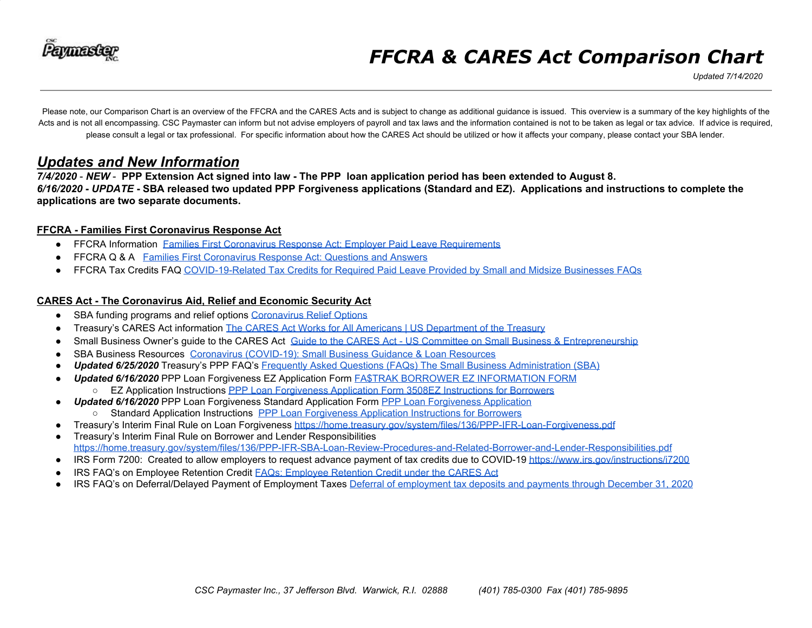

*Updated 7/14/2020*

Please note, our Comparison Chart is an overview of the FFCRA and the CARES Acts and is subject to change as additional guidance is issued. This overview is a summary of the key highlights of the Acts and is not all encompassing. CSC Paymaster can inform but not advise employers of payroll and tax laws and the information contained is not to be taken as legal or tax advice. If advice is required, please consult a legal or tax professional. For specific information about how the CARES Act should be utilized or how it affects your company, please contact your SBA lender.

#### *Updates and New Information*

7/4/2020 - NEW - PPP Extension Act signed into law - The PPP loan application period has been extended to August 8. 6/16/2020 - UPDATE - SBA released two updated PPP Forgiveness applications (Standard and EZ). Applications and instructions to complete the **applications are two separate documents.**

#### **FFCRA - Families First Coronavirus Response Act**

- **FFCRA Information Families First Coronavirus Response Act: Employer Paid Leave [Requirements](https://www.dol.gov/agencies/whd/pandemic/ffcra-employer-paid-leave)**
- FFCRA Q & A Families First [Coronavirus](https://www.dol.gov/agencies/whd/pandemic/ffcra-questions) Response Act: Questions and Answers
- FFCRA Tax Credits FAQ [COVID-19-Related](https://www.irs.gov/newsroom/covid-19-related-tax-credits-for-required-paid-leave-provided-by-small-and-midsize-businesses-faqs) Tax Credits for Required Paid Leave Provided by Small and Midsize Businesses FAQs

#### **CARES Act - The Coronavirus Aid, Relief and Economic Security Act**

- *●* SBA funding programs and relief options [Coronavirus](https://www.sba.gov/funding-programs/loans/coronavirus-relief-options) Relief Options
- Treasury's CARES Act information The CARES Act Works for All Americans | US [Department](https://home.treasury.gov/policy-issues/cares) of the Treasury
- Small Business Owner's guide to the CARES Act Guide to the CARES Act US Committee on Small Business & [Entrepreneurship](https://www.sbc.senate.gov/public/index.cfm/guide-to-the-cares-act)
- SBA Business Resources Coronavirus [\(COVID-19\):](https://www.sba.gov/page/coronavirus-covid-19-small-business-guidance-loan-resources) Small Business Guidance & Loan Resources
- *Updated 6/25/2020* Treasury's PPP FAQ's Frequently Asked Questions (FAQs) The Small Business [Administration](https://home.treasury.gov/system/files/136/Paycheck-Protection-Program-Frequently-Asked-Questions.pdf) (SBA)
- *Updated 6/16/2020* PPP Loan Forgiveness EZ Application Form FA\$TRAK BORROWER EZ [INFORMATION](https://www.sba.gov/sites/default/files/2020-06/PPP%20Forgiveness%20Application%203508EZ%20%28%20Revised%2006.16.2020%29.pdf) FORM ○ EZ Application Instructions PPP Loan [Forgiveness](https://home.treasury.gov/system/files/136/PPP-Loan-Forgiveness-Application-Form-EZ-Instructions.pdf) Application Form 3508EZ Instructions for Borrowers
	- **Updated 6/16/2020** PPP Loan [Forgiveness](https://home.treasury.gov/system/files/136/3245-0407-SBA-Form-3508-PPP-Forgiveness-Application.pdf) Standard Application Form PPP Loan Forgiveness Application
- Standard Application Instructions PPP Loan [Forgiveness](https://home.treasury.gov/system/files/136/PPP-Loan-Forgiveness-Application-Instructions_1_0.pdf) Application Instructions for Borrowers
- Treasury's Interim Final Rule on Loan Forgiveness <https://home.treasury.gov/system/files/136/PPP-IFR-Loan-Forgiveness.pdf>
- Treasury's Interim Final Rule on Borrower and Lender Responsibilities <https://home.treasury.gov/system/files/136/PPP-IFR-SBA-Loan-Review-Procedures-and-Related-Borrower-and-Lender-Responsibilities.pdf>
- IRS Form 7200: Created to allow employers to request advance payment of tax credits due to COVID-19 <https://www.irs.gov/instructions/i7200>
- IRS FAQ's on [Employee](https://www.irs.gov/newsroom/faqs-employee-retention-credit-under-the-cares-act) Retention Credit FAQs: Employee Retention Credit under the CARES Act
- IRS FAQ's on Deferral/Delayed Payment of Employment Taxes Deferral of [employment](https://www.irs.gov/newsroom/deferral-of-employment-tax-deposits-and-payments-through-december-31-2020) tax deposits and payments through December 31, 2020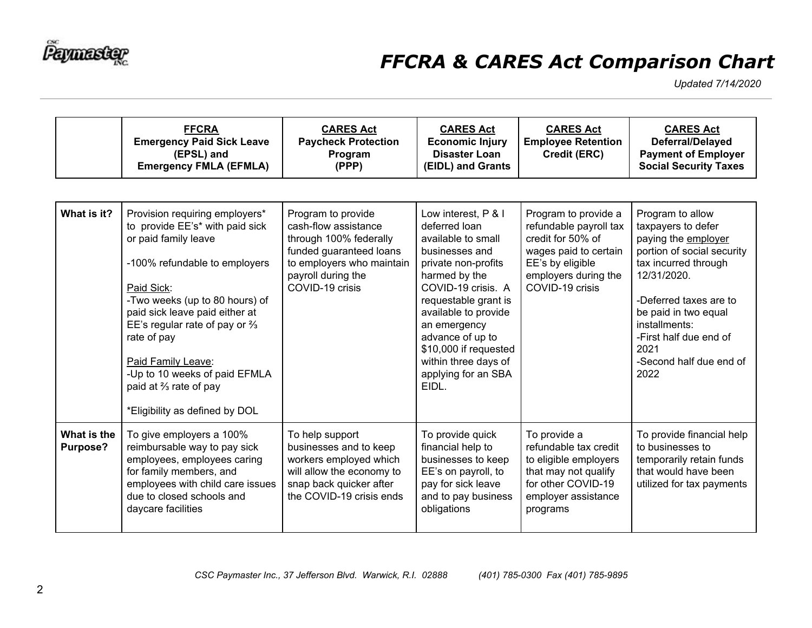

|                         | <b>FFCRA</b><br><b>Emergency Paid Sick Leave</b><br>(EPSL) and<br><b>Emergency FMLA (EFMLA)</b>                                                                                                                                                                                                                                                                                            | <b>CARES Act</b><br><b>Paycheck Protection</b><br>Program<br>(PPP)                                                                                                    | <b>CARES Act</b><br><b>Economic Injury</b><br><b>Disaster Loan</b><br>(EIDL) and Grants                                                                                                                                                                                                                        | <b>CARES Act</b><br><b>Employee Retention</b><br>Credit (ERC)                                                                                               | <b>CARES Act</b><br>Deferral/Delayed<br><b>Payment of Employer</b><br><b>Social Security Taxes</b>                                                                                                                                                                         |
|-------------------------|--------------------------------------------------------------------------------------------------------------------------------------------------------------------------------------------------------------------------------------------------------------------------------------------------------------------------------------------------------------------------------------------|-----------------------------------------------------------------------------------------------------------------------------------------------------------------------|----------------------------------------------------------------------------------------------------------------------------------------------------------------------------------------------------------------------------------------------------------------------------------------------------------------|-------------------------------------------------------------------------------------------------------------------------------------------------------------|----------------------------------------------------------------------------------------------------------------------------------------------------------------------------------------------------------------------------------------------------------------------------|
| What is it?             | Provision requiring employers*<br>to provide EE's* with paid sick<br>or paid family leave<br>-100% refundable to employers<br>Paid Sick:<br>-Two weeks (up to 80 hours) of<br>paid sick leave paid either at<br>EE's regular rate of pay or $\frac{2}{3}$<br>rate of pay<br>Paid Family Leave:<br>-Up to 10 weeks of paid EFMLA<br>paid at % rate of pay<br>*Eligibility as defined by DOL | Program to provide<br>cash-flow assistance<br>through 100% federally<br>funded guaranteed loans<br>to employers who maintain<br>payroll during the<br>COVID-19 crisis | Low interest, P & I<br>deferred loan<br>available to small<br>businesses and<br>private non-profits<br>harmed by the<br>COVID-19 crisis. A<br>requestable grant is<br>available to provide<br>an emergency<br>advance of up to<br>\$10,000 if requested<br>within three days of<br>applying for an SBA<br>FIDL | Program to provide a<br>refundable payroll tax<br>credit for 50% of<br>wages paid to certain<br>EE's by eligible<br>employers during the<br>COVID-19 crisis | Program to allow<br>taxpayers to defer<br>paying the employer<br>portion of social security<br>tax incurred through<br>12/31/2020.<br>-Deferred taxes are to<br>be paid in two equal<br>installments:<br>-First half due end of<br>2021<br>-Second half due end of<br>2022 |
| What is the<br>Purpose? | To give employers a 100%<br>reimbursable way to pay sick<br>employees, employees caring<br>for family members, and<br>employees with child care issues<br>due to closed schools and<br>daycare facilities                                                                                                                                                                                  | To help support<br>businesses and to keep<br>workers employed which<br>will allow the economy to<br>snap back quicker after<br>the COVID-19 crisis ends               | To provide quick<br>financial help to<br>businesses to keep<br>EE's on payroll, to<br>pay for sick leave<br>and to pay business<br>obligations                                                                                                                                                                 | To provide a<br>refundable tax credit<br>to eligible employers<br>that may not qualify<br>for other COVID-19<br>employer assistance<br>programs             | To provide financial help<br>to businesses to<br>temporarily retain funds<br>that would have been<br>utilized for tax payments                                                                                                                                             |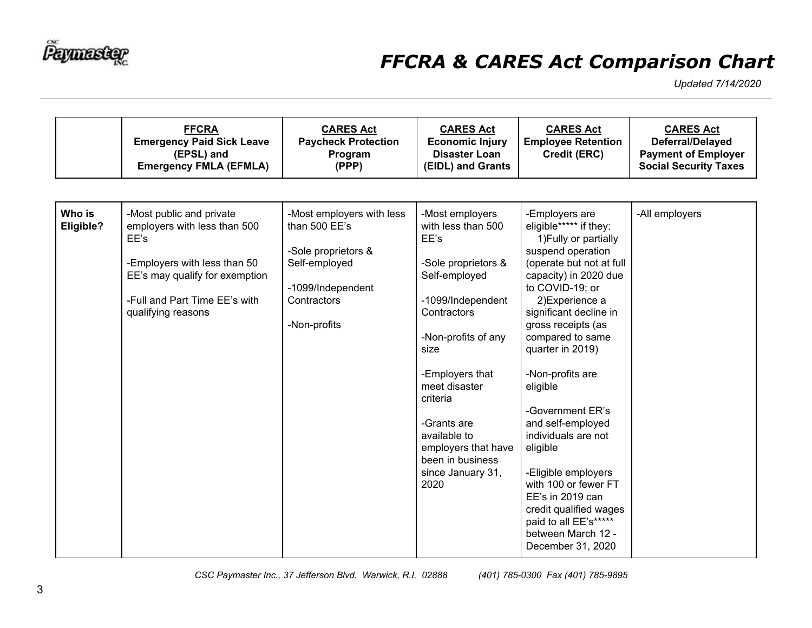

|                     | <b>FFCRA</b><br><b>Emergency Paid Sick Leave</b><br>(EPSL) and<br><b>Emergency FMLA (EFMLA)</b>                                                                                           | <b>CARES Act</b><br><b>Paycheck Protection</b><br>Program<br>(PPP)                                                                     | <b>CARES Act</b><br><b>Economic Injury</b><br><b>Disaster Loan</b><br>(EIDL) and Grants                                                                                                                                                                                                                         | <b>CARES Act</b><br><b>Employee Retention</b><br>Credit (ERC)                                                                                                                                                                                                                                                                                                                                                                                                                                                                                            | <b>CARES Act</b><br>Deferral/Delayed<br><b>Payment of Employer</b><br><b>Social Security Taxes</b> |
|---------------------|-------------------------------------------------------------------------------------------------------------------------------------------------------------------------------------------|----------------------------------------------------------------------------------------------------------------------------------------|-----------------------------------------------------------------------------------------------------------------------------------------------------------------------------------------------------------------------------------------------------------------------------------------------------------------|----------------------------------------------------------------------------------------------------------------------------------------------------------------------------------------------------------------------------------------------------------------------------------------------------------------------------------------------------------------------------------------------------------------------------------------------------------------------------------------------------------------------------------------------------------|----------------------------------------------------------------------------------------------------|
| Who is<br>Eligible? | -Most public and private<br>employers with less than 500<br>EE's<br>-Employers with less than 50<br>EE's may qualify for exemption<br>-Full and Part Time EE's with<br>qualifying reasons | -Most employers with less<br>than 500 EE's<br>-Sole proprietors &<br>Self-employed<br>-1099/Independent<br>Contractors<br>-Non-profits | -Most employers<br>with less than 500<br>EE's<br>-Sole proprietors &<br>Self-employed<br>-1099/Independent<br>Contractors<br>-Non-profits of any<br>size<br>-Employers that<br>meet disaster<br>criteria<br>-Grants are<br>available to<br>employers that have<br>been in business<br>since January 31,<br>2020 | -Employers are<br>eligible***** if they:<br>1) Fully or partially<br>suspend operation<br>(operate but not at full<br>capacity) in 2020 due<br>to COVID-19; or<br>2) Experience a<br>significant decline in<br>gross receipts (as<br>compared to same<br>quarter in 2019)<br>-Non-profits are<br>eligible<br>-Government ER's<br>and self-employed<br>individuals are not<br>eligible<br>-Eligible employers<br>with 100 or fewer FT<br>$EE's$ in 2019 can<br>credit qualified wages<br>paid to all EE's*****<br>between March 12 -<br>December 31, 2020 | -All employers                                                                                     |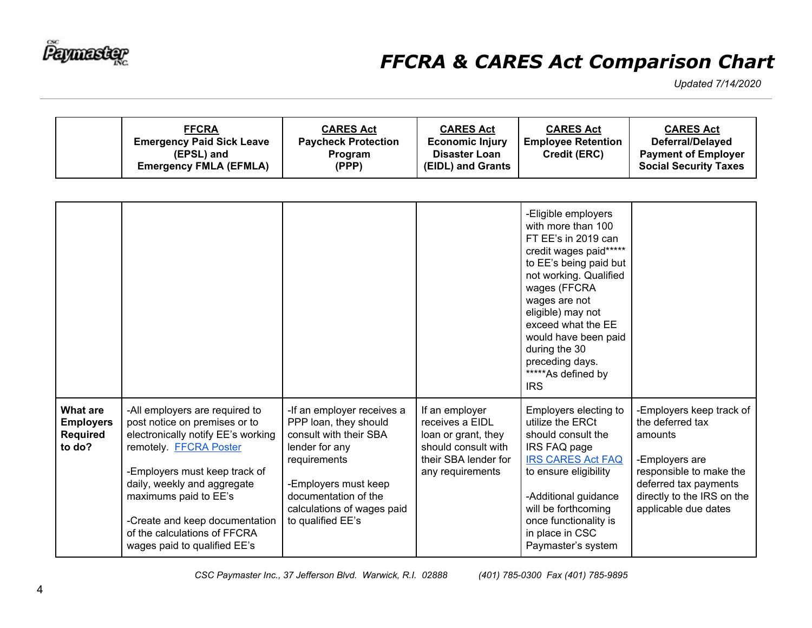

| <b>FFCRA</b><br><b>Emergency Paid Sick Leave</b><br>(EPSL) and<br><b>Emergency FMLA (EFMLA)</b> | <b>CARES Act</b><br><b>Paycheck Protection</b><br><b>Program</b><br>(PPP) | <b>CARES Act</b><br><b>Economic Injury</b><br><b>Disaster Loan</b><br>(EIDL) and Grants | <b>CARES Act</b><br><b>Employee Retention</b><br><b>Credit (ERC)</b> | <b>CARES Act</b><br>Deferral/Delayed<br><b>Payment of Employer</b><br><b>Social Security Taxes</b> |
|-------------------------------------------------------------------------------------------------|---------------------------------------------------------------------------|-----------------------------------------------------------------------------------------|----------------------------------------------------------------------|----------------------------------------------------------------------------------------------------|
|-------------------------------------------------------------------------------------------------|---------------------------------------------------------------------------|-----------------------------------------------------------------------------------------|----------------------------------------------------------------------|----------------------------------------------------------------------------------------------------|

|                                                                  |                                                                                                                                                                                                                                                                                                                            |                                                                                                                                                                                                                    |                                                                                                                             | -Eligible employers<br>with more than 100<br>FT EE's in 2019 can<br>credit wages paid*****<br>to EE's being paid but<br>not working. Qualified<br>wages (FFCRA<br>wages are not<br>eligible) may not<br>exceed what the EE<br>would have been paid<br>during the 30<br>preceding days.<br>*****As defined by<br><b>IRS</b> |                                                                                                                                                                                     |
|------------------------------------------------------------------|----------------------------------------------------------------------------------------------------------------------------------------------------------------------------------------------------------------------------------------------------------------------------------------------------------------------------|--------------------------------------------------------------------------------------------------------------------------------------------------------------------------------------------------------------------|-----------------------------------------------------------------------------------------------------------------------------|----------------------------------------------------------------------------------------------------------------------------------------------------------------------------------------------------------------------------------------------------------------------------------------------------------------------------|-------------------------------------------------------------------------------------------------------------------------------------------------------------------------------------|
| <b>What are</b><br><b>Employers</b><br><b>Required</b><br>to do? | -All employers are required to<br>post notice on premises or to<br>electronically notify EE's working<br>remotely. FFCRA Poster<br>-Employers must keep track of<br>daily, weekly and aggregate<br>maximums paid to EE's<br>-Create and keep documentation<br>of the calculations of FFCRA<br>wages paid to qualified EE's | -If an employer receives a<br>PPP loan, they should<br>consult with their SBA<br>lender for any<br>requirements<br>-Employers must keep<br>documentation of the<br>calculations of wages paid<br>to qualified EE's | If an employer<br>receives a EIDL<br>loan or grant, they<br>should consult with<br>their SBA lender for<br>any requirements | Employers electing to<br>utilize the ERCt<br>should consult the<br>IRS FAQ page<br><b>IRS CARES Act FAQ</b><br>to ensure eligibility<br>-Additional guidance<br>will be forthcoming<br>once functionality is<br>in place in CSC<br>Paymaster's system                                                                      | -Employers keep track of<br>the deferred tax<br>amounts<br>-Employers are<br>responsible to make the<br>deferred tax payments<br>directly to the IRS on the<br>applicable due dates |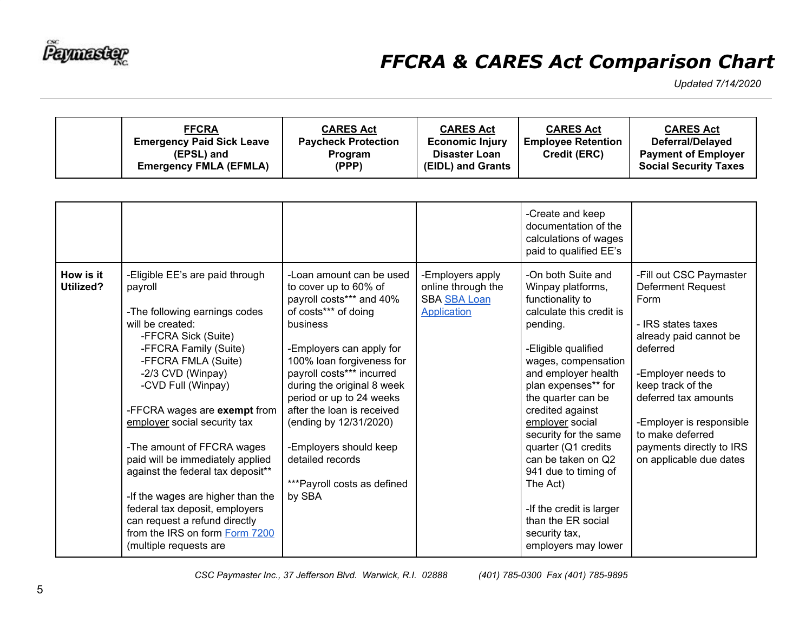

| <b>FFCRA</b><br><b>Emergency Paid Sick Leave</b><br>(EPSL) and<br><b>Emergency FMLA (EFMLA)</b> | <b>CARES Act</b><br><b>Paycheck Protection</b><br><b>Program</b><br>(PPP) | <b>CARES Act</b><br><b>Economic Injury</b><br><b>Disaster Loan</b><br>(EIDL) and Grants | <b>CARES Act</b><br><b>Employee Retention</b><br><b>Credit (ERC)</b> | <b>CARES Act</b><br>Deferral/Delayed<br><b>Payment of Employer</b><br><b>Social Security Taxes</b> |
|-------------------------------------------------------------------------------------------------|---------------------------------------------------------------------------|-----------------------------------------------------------------------------------------|----------------------------------------------------------------------|----------------------------------------------------------------------------------------------------|
|-------------------------------------------------------------------------------------------------|---------------------------------------------------------------------------|-----------------------------------------------------------------------------------------|----------------------------------------------------------------------|----------------------------------------------------------------------------------------------------|

|                        |                                                                                                                                                                                                                                                                                                                                                                                                                                                                                                                                                              |                                                                                                                                                                                                                                                                                                                                                                                                                   |                                                                                     | -Create and keep<br>documentation of the<br>calculations of wages<br>paid to qualified EE's                                                                                                                                                                                                                                                                                                                                                                      |                                                                                                                                                                                                                                                                                            |
|------------------------|--------------------------------------------------------------------------------------------------------------------------------------------------------------------------------------------------------------------------------------------------------------------------------------------------------------------------------------------------------------------------------------------------------------------------------------------------------------------------------------------------------------------------------------------------------------|-------------------------------------------------------------------------------------------------------------------------------------------------------------------------------------------------------------------------------------------------------------------------------------------------------------------------------------------------------------------------------------------------------------------|-------------------------------------------------------------------------------------|------------------------------------------------------------------------------------------------------------------------------------------------------------------------------------------------------------------------------------------------------------------------------------------------------------------------------------------------------------------------------------------------------------------------------------------------------------------|--------------------------------------------------------------------------------------------------------------------------------------------------------------------------------------------------------------------------------------------------------------------------------------------|
| How is it<br>Utilized? | -Eligible EE's are paid through<br>payroll<br>-The following earnings codes<br>will be created:<br>-FFCRA Sick (Suite)<br>-FFCRA Family (Suite)<br>-FFCRA FMLA (Suite)<br>-2/3 CVD (Winpay)<br>-CVD Full (Winpay)<br>-FFCRA wages are exempt from<br>employer social security tax<br>-The amount of FFCRA wages<br>paid will be immediately applied<br>against the federal tax deposit**<br>-If the wages are higher than the<br>federal tax deposit, employers<br>can request a refund directly<br>from the IRS on form Form 7200<br>(multiple requests are | -Loan amount can be used<br>to cover up to 60% of<br>payroll costs*** and 40%<br>of costs*** of doing<br>business<br>-Employers can apply for<br>100% loan forgiveness for<br>payroll costs*** incurred<br>during the original 8 week<br>period or up to 24 weeks<br>after the loan is received<br>(ending by 12/31/2020)<br>-Employers should keep<br>detailed records<br>*** Payroll costs as defined<br>by SBA | -Employers apply<br>online through the<br><b>SBA SBA Loan</b><br><b>Application</b> | -On both Suite and<br>Winpay platforms,<br>functionality to<br>calculate this credit is<br>pending.<br>-Eligible qualified<br>wages, compensation<br>and employer health<br>plan expenses** for<br>the quarter can be<br>credited against<br>employer social<br>security for the same<br>quarter (Q1 credits<br>can be taken on Q2<br>941 due to timing of<br>The Act)<br>-If the credit is larger<br>than the ER social<br>security tax,<br>employers may lower | -Fill out CSC Paymaster<br>Deferment Request<br>Form<br>- IRS states taxes<br>already paid cannot be<br>deferred<br>-Employer needs to<br>keep track of the<br>deferred tax amounts<br>-Employer is responsible<br>to make deferred<br>payments directly to IRS<br>on applicable due dates |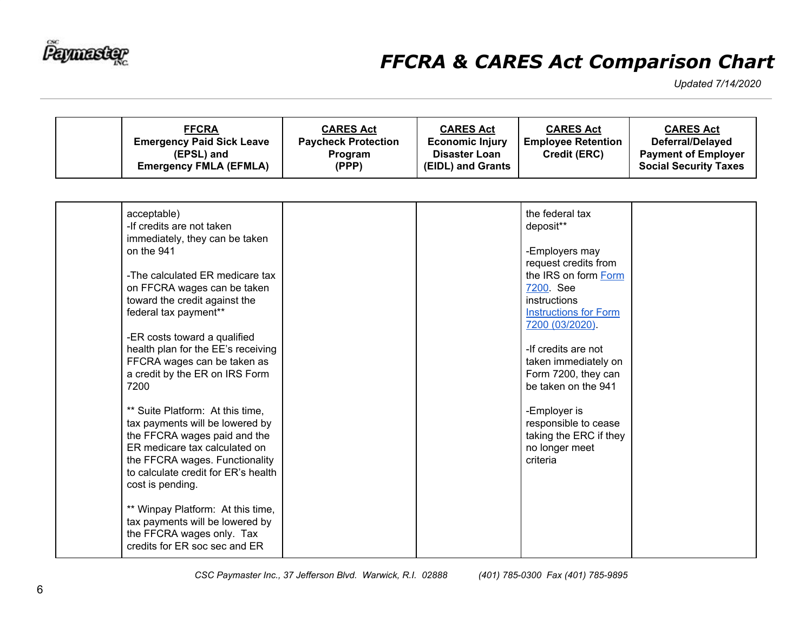

| <b>FFCRA</b><br><b>Emergency Paid Sick Leave</b><br>(EPSL) and<br><b>Emergency FMLA (EFMLA)</b>                                                                                                                                                                                                                                                                                                                                                                                                                                                                                                                                                                                                                                                | <b>CARES Act</b><br><b>Paycheck Protection</b><br>Program<br>(PPP) | <b>CARES Act</b><br><b>Economic Injury</b><br><b>Disaster Loan</b><br>(EIDL) and Grants | <b>CARES Act</b><br><b>Employee Retention</b><br>Credit (ERC)                                                                                                                                                                                                                                                                                                              | <b>CARES Act</b><br>Deferral/Delayed<br><b>Payment of Employer</b><br><b>Social Security Taxes</b> |
|------------------------------------------------------------------------------------------------------------------------------------------------------------------------------------------------------------------------------------------------------------------------------------------------------------------------------------------------------------------------------------------------------------------------------------------------------------------------------------------------------------------------------------------------------------------------------------------------------------------------------------------------------------------------------------------------------------------------------------------------|--------------------------------------------------------------------|-----------------------------------------------------------------------------------------|----------------------------------------------------------------------------------------------------------------------------------------------------------------------------------------------------------------------------------------------------------------------------------------------------------------------------------------------------------------------------|----------------------------------------------------------------------------------------------------|
| acceptable)<br>-If credits are not taken<br>immediately, they can be taken<br>on the 941<br>-The calculated ER medicare tax<br>on FFCRA wages can be taken<br>toward the credit against the<br>federal tax payment**<br>-ER costs toward a qualified<br>health plan for the EE's receiving<br>FFCRA wages can be taken as<br>a credit by the ER on IRS Form<br>7200<br>** Suite Platform: At this time,<br>tax payments will be lowered by<br>the FFCRA wages paid and the<br>ER medicare tax calculated on<br>the FFCRA wages. Functionality<br>to calculate credit for ER's health<br>cost is pending.<br>** Winpay Platform: At this time,<br>tax payments will be lowered by<br>the FFCRA wages only. Tax<br>credits for ER soc sec and ER |                                                                    |                                                                                         | the federal tax<br>deposit**<br>-Employers may<br>request credits from<br>the IRS on form Form<br>7200 See<br>instructions<br><b>Instructions for Form</b><br>7200 (03/2020).<br>-If credits are not<br>taken immediately on<br>Form 7200, they can<br>be taken on the 941<br>-Employer is<br>responsible to cease<br>taking the ERC if they<br>no longer meet<br>criteria |                                                                                                    |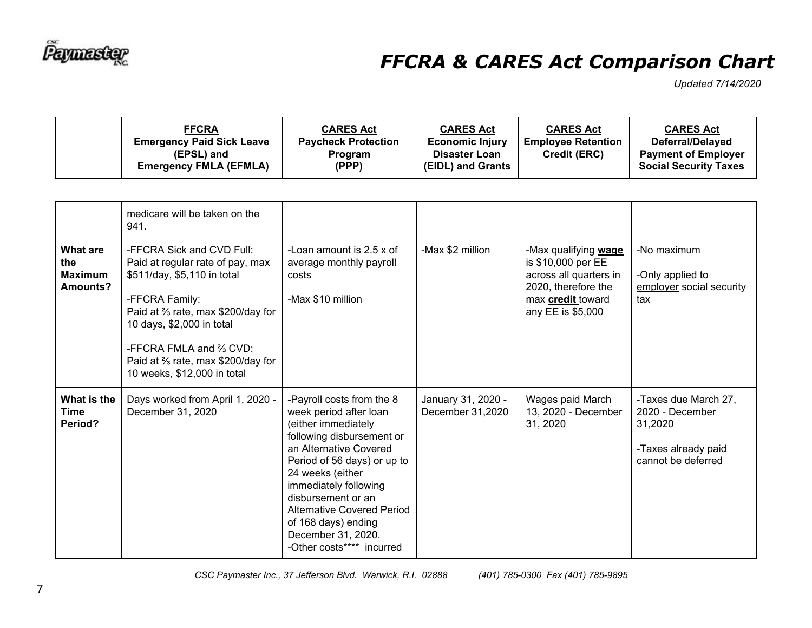

| <b>FFCRA</b><br><b>Emergency Paid Sick Leave</b><br>(EPSL) and<br><b>Emergency FMLA (EFMLA)</b> | <b>CARES Act</b><br><b>Paycheck Protection</b><br><b>Program</b><br>(PPP) | <b>CARES Act</b><br><b>Economic Injury</b><br><b>Disaster Loan</b><br>(EIDL) and Grants | <b>CARES Act</b><br><b>Employee Retention</b><br><b>Credit (ERC)</b> | <b>CARES Act</b><br>Deferral/Delayed<br><b>Payment of Employer</b><br><b>Social Security Taxes</b> |
|-------------------------------------------------------------------------------------------------|---------------------------------------------------------------------------|-----------------------------------------------------------------------------------------|----------------------------------------------------------------------|----------------------------------------------------------------------------------------------------|
|-------------------------------------------------------------------------------------------------|---------------------------------------------------------------------------|-----------------------------------------------------------------------------------------|----------------------------------------------------------------------|----------------------------------------------------------------------------------------------------|

|                                               | medicare will be taken on the<br>941.                                                                                                                                                                                                                                          |                                                                                                                                                                                                                                                                                                                                             |                                        |                                                                                                                                              |                                                                                                 |
|-----------------------------------------------|--------------------------------------------------------------------------------------------------------------------------------------------------------------------------------------------------------------------------------------------------------------------------------|---------------------------------------------------------------------------------------------------------------------------------------------------------------------------------------------------------------------------------------------------------------------------------------------------------------------------------------------|----------------------------------------|----------------------------------------------------------------------------------------------------------------------------------------------|-------------------------------------------------------------------------------------------------|
| What are<br>the<br><b>Maximum</b><br>Amounts? | -FFCRA Sick and CVD Full:<br>Paid at regular rate of pay, max<br>\$511/day, \$5,110 in total<br>-FFCRA Family:<br>Paid at % rate, max \$200/day for<br>10 days, \$2,000 in total<br>-FFCRA FMLA and % CVD:<br>Paid at % rate, max \$200/day for<br>10 weeks, \$12,000 in total | -Loan amount is 2.5 x of<br>average monthly payroll<br>costs<br>-Max \$10 million                                                                                                                                                                                                                                                           | -Max \$2 million                       | -Max qualifying wage<br>is \$10,000 per EE<br>across all quarters in<br>2020, therefore the<br>max <b>credit</b> toward<br>any EE is \$5,000 | -No maximum<br>-Only applied to<br>employer social security<br>tax                              |
| What is the<br><b>Time</b><br>Period?         | Days worked from April 1, 2020 -<br>December 31, 2020                                                                                                                                                                                                                          | -Payroll costs from the 8<br>week period after loan<br>(either immediately<br>following disbursement or<br>an Alternative Covered<br>Period of 56 days) or up to<br>24 weeks (either<br>immediately following<br>disbursement or an<br>Alternative Covered Period<br>of 168 days) ending<br>December 31, 2020.<br>-Other costs**** incurred | January 31, 2020 -<br>December 31,2020 | Wages paid March<br>13, 2020 - December<br>31, 2020                                                                                          | -Taxes due March 27,<br>2020 - December<br>31,2020<br>-Taxes already paid<br>cannot be deferred |